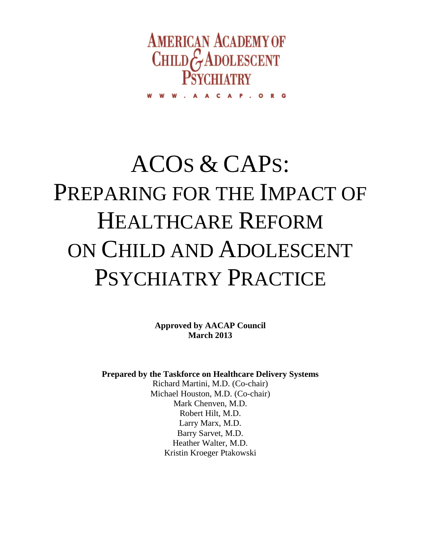

CAP.ORG

# ACOS & CAPS: PREPARING FOR THE IMPACT OF HEALTHCARE REFORM ON CHILD AND ADOLESCENT PSYCHIATRY PRACTICE

**Approved by AACAP Council March 2013**

**Prepared by the Taskforce on Healthcare Delivery Systems**

Richard Martini, M.D. (Co-chair) Michael Houston, M.D. (Co-chair) Mark Chenven, M.D. Robert Hilt, M.D. Larry Marx, M.D. Barry Sarvet, M.D. Heather Walter, M.D. Kristin Kroeger Ptakowski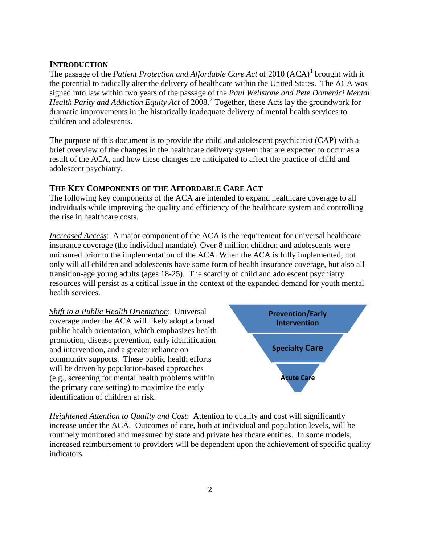# **INTRODUCTION**

The passage of the *Patient Protection and Affordable Care Act* of 20[1](#page-10-0)0 (ACA)<sup>1</sup> brought with it the potential to radically alter the delivery of healthcare within the United States. The ACA was signed into law within two years of the passage of the *Paul Wellstone and Pete Domenici Mental Health Parity and Addiction Equity Act* of 2008. [2](#page-10-1) Together, these Acts lay the groundwork for dramatic improvements in the historically inadequate delivery of mental health services to children and adolescents.

The purpose of this document is to provide the child and adolescent psychiatrist (CAP) with a brief overview of the changes in the healthcare delivery system that are expected to occur as a result of the ACA, and how these changes are anticipated to affect the practice of child and adolescent psychiatry.

# **THE KEY COMPONENTS OF THE AFFORDABLE CARE ACT**

The following key components of the ACA are intended to expand healthcare coverage to all individuals while improving the quality and efficiency of the healthcare system and controlling the rise in healthcare costs.

*Increased Access*: A major component of the ACA is the requirement for universal healthcare insurance coverage (the individual mandate). Over 8 million children and adolescents were uninsured prior to the implementation of the ACA. When the ACA is fully implemented, not only will all children and adolescents have some form of health insurance coverage, but also all transition-age young adults (ages 18-25). The scarcity of child and adolescent psychiatry resources will persist as a critical issue in the context of the expanded demand for youth mental health services.

*Shift to a Public Health Orientation*: Universal coverage under the ACA will likely adopt a broad public health orientation, which emphasizes health promotion, disease prevention, early identification and intervention, and a greater reliance on community supports. These public health efforts will be driven by population-based approaches (e.g., screening for mental health problems within the primary care setting) to maximize the early identification of children at risk.



*Heightened Attention to Quality and Cost*: Attention to quality and cost will significantly increase under the ACA. Outcomes of care, both at individual and population levels, will be routinely monitored and measured by state and private healthcare entities. In some models, increased reimbursement to providers will be dependent upon the achievement of specific quality indicators.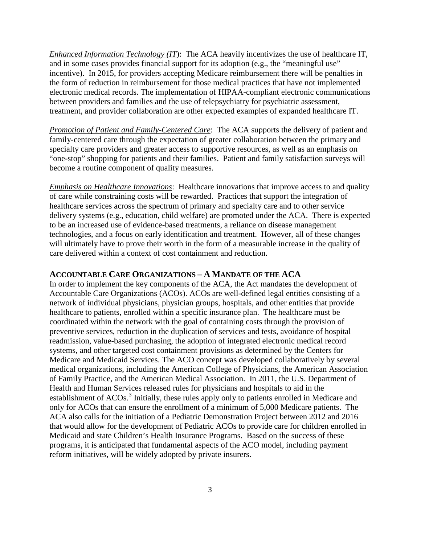*Enhanced Information Technology (IT*): The ACA heavily incentivizes the use of healthcare IT, and in some cases provides financial support for its adoption (e.g., the "meaningful use" incentive). In 2015, for providers accepting Medicare reimbursement there will be penalties in the form of reduction in reimbursement for those medical practices that have not implemented electronic medical records. The implementation of HIPAA-compliant electronic communications between providers and families and the use of telepsychiatry for psychiatric assessment, treatment, and provider collaboration are other expected examples of expanded healthcare IT.

*Promotion of Patient and Family-Centered Care*: The ACA supports the delivery of patient and family-centered care through the expectation of greater collaboration between the primary and specialty care providers and greater access to supportive resources, as well as an emphasis on "one-stop" shopping for patients and their families. Patient and family satisfaction surveys will become a routine component of quality measures.

*Emphasis on Healthcare Innovations*: Healthcare innovations that improve access to and quality of care while constraining costs will be rewarded. Practices that support the integration of healthcare services across the spectrum of primary and specialty care and to other service delivery systems (e.g., education, child welfare) are promoted under the ACA. There is expected to be an increased use of evidence-based treatments, a reliance on disease management technologies, and a focus on early identification and treatment. However, all of these changes will ultimately have to prove their worth in the form of a measurable increase in the quality of care delivered within a context of cost containment and reduction.

#### **ACCOUNTABLE CARE ORGANIZATIONS – A MANDATE OF THE ACA**

In order to implement the key components of the ACA, the Act mandates the development of Accountable Care Organizations (ACOs). ACOs are well-defined legal entities consisting of a network of individual physicians, physician groups, hospitals, and other entities that provide healthcare to patients, enrolled within a specific insurance plan. The healthcare must be coordinated within the network with the goal of containing costs through the provision of preventive services, reduction in the duplication of services and tests, avoidance of hospital readmission, value-based purchasing, the adoption of integrated electronic medical record systems, and other targeted cost containment provisions as determined by the Centers for Medicare and Medicaid Services. The ACO concept was developed collaboratively by several medical organizations, including the American College of Physicians, the American Association of Family Practice, and the American Medical Association. In 2011, the U.S. Department of Health and Human Services released rules for physicians and hospitals to aid in the establishment of ACOs.<sup>[3](#page-10-2)</sup> Initially, these rules apply only to patients enrolled in Medicare and only for ACOs that can ensure the enrollment of a minimum of 5,000 Medicare patients. The ACA also calls for the initiation of a Pediatric Demonstration Project between 2012 and 2016 that would allow for the development of Pediatric ACOs to provide care for children enrolled in Medicaid and state Children's Health Insurance Programs. Based on the success of these programs, it is anticipated that fundamental aspects of the ACO model, including payment reform initiatives, will be widely adopted by private insurers.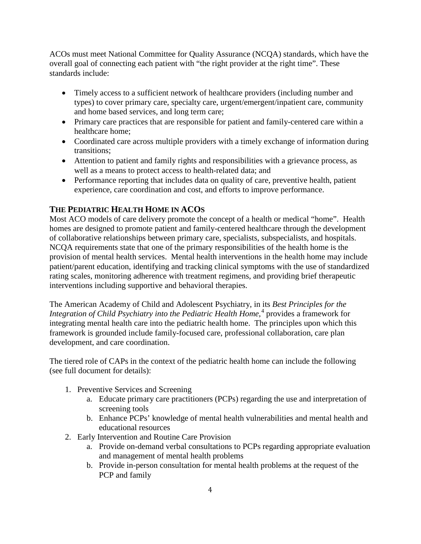ACOs must meet National Committee for Quality Assurance (NCQA) standards, which have the overall goal of connecting each patient with "the right provider at the right time". These standards include:

- Timely access to a sufficient network of healthcare providers (including number and types) to cover primary care, specialty care, urgent/emergent/inpatient care, community and home based services, and long term care;
- Primary care practices that are responsible for patient and family-centered care within a healthcare home;
- Coordinated care across multiple providers with a timely exchange of information during transitions;
- Attention to patient and family rights and responsibilities with a grievance process, as well as a means to protect access to health-related data; and
- Performance reporting that includes data on quality of care, preventive health, patient experience, care coordination and cost, and efforts to improve performance.

# **THE PEDIATRIC HEALTH HOME IN ACOS**

Most ACO models of care delivery promote the concept of a health or medical "home". Health homes are designed to promote patient and family-centered healthcare through the development of collaborative relationships between primary care, specialists, subspecialists, and hospitals. NCQA requirements state that one of the primary responsibilities of the health home is the provision of mental health services. Mental health interventions in the health home may include patient/parent education, identifying and tracking clinical symptoms with the use of standardized rating scales, monitoring adherence with treatment regimens, and providing brief therapeutic interventions including supportive and behavioral therapies.

The American Academy of Child and Adolescent Psychiatry, in its *Best Principles for the Integration of Child Psychiatry into the Pediatric Health Home,* [4](#page-10-3) provides a framework for integrating mental health care into the pediatric health home. The principles upon which this framework is grounded include family-focused care, professional collaboration, care plan development, and care coordination.

The tiered role of CAPs in the context of the pediatric health home can include the following (see full document for details):

- 1. Preventive Services and Screening
	- a. Educate primary care practitioners (PCPs) regarding the use and interpretation of screening tools
	- b. Enhance PCPs' knowledge of mental health vulnerabilities and mental health and educational resources
- 2. Early Intervention and Routine Care Provision
	- a. Provide on-demand verbal consultations to PCPs regarding appropriate evaluation and management of mental health problems
	- b. Provide in-person consultation for mental health problems at the request of the PCP and family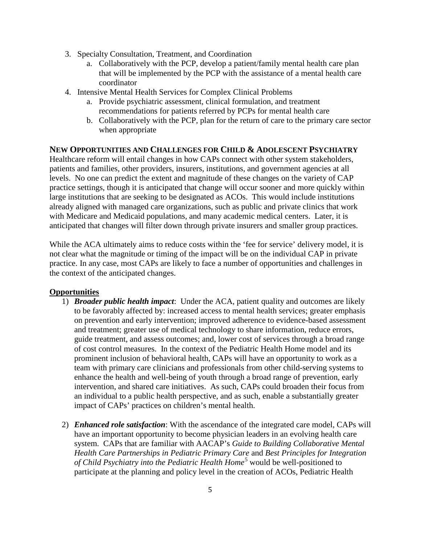- 3. Specialty Consultation, Treatment, and Coordination
	- a. Collaboratively with the PCP, develop a patient/family mental health care plan that will be implemented by the PCP with the assistance of a mental health care coordinator
- 4. Intensive Mental Health Services for Complex Clinical Problems
	- a. Provide psychiatric assessment, clinical formulation, and treatment recommendations for patients referred by PCPs for mental health care
	- b. Collaboratively with the PCP, plan for the return of care to the primary care sector when appropriate

### **NEW OPPORTUNITIES AND CHALLENGES FOR CHILD & ADOLESCENT PSYCHIATRY**

Healthcare reform will entail changes in how CAPs connect with other system stakeholders, patients and families, other providers, insurers, institutions, and government agencies at all levels. No one can predict the extent and magnitude of these changes on the variety of CAP practice settings, though it is anticipated that change will occur sooner and more quickly within large institutions that are seeking to be designated as ACOs. This would include institutions already aligned with managed care organizations, such as public and private clinics that work with Medicare and Medicaid populations, and many academic medical centers. Later, it is anticipated that changes will filter down through private insurers and smaller group practices.

While the ACA ultimately aims to reduce costs within the 'fee for service' delivery model, it is not clear what the magnitude or timing of the impact will be on the individual CAP in private practice. In any case, most CAPs are likely to face a number of opportunities and challenges in the context of the anticipated changes.

#### **Opportunities**

- 1) *Broader public health impact*: Under the ACA, patient quality and outcomes are likely to be favorably affected by: increased access to mental health services; greater emphasis on prevention and early intervention; improved adherence to evidence-based assessment and treatment; greater use of medical technology to share information, reduce errors, guide treatment, and assess outcomes; and, lower cost of services through a broad range of cost control measures. In the context of the Pediatric Health Home model and its prominent inclusion of behavioral health, CAPs will have an opportunity to work as a team with primary care clinicians and professionals from other child-serving systems to enhance the health and well-being of youth through a broad range of prevention, early intervention, and shared care initiatives. As such, CAPs could broaden their focus from an individual to a public health perspective, and as such, enable a substantially greater impact of CAPs' practices on children's mental health.
- 2) *Enhanced role satisfaction*: With the ascendance of the integrated care model, CAPs will have an important opportunity to become physician leaders in an evolving health care system. CAPs that are familiar with AACAP's *Guide to Building Collaborative Mental Health Care Partnerships in Pediatric Primary Care* and *Best Principles for Integration of Child Psychiatry into the Pediatric Health Home*<sup>[5](#page-10-4)</sup> would be well-positioned to participate at the planning and policy level in the creation of ACOs, Pediatric Health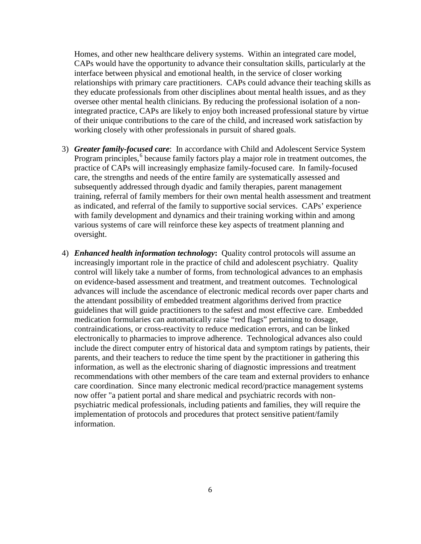Homes, and other new healthcare delivery systems. Within an integrated care model, CAPs would have the opportunity to advance their consultation skills, particularly at the interface between physical and emotional health, in the service of closer working relationships with primary care practitioners. CAPs could advance their teaching skills as they educate professionals from other disciplines about mental health issues, and as they oversee other mental health clinicians. By reducing the professional isolation of a nonintegrated practice, CAPs are likely to enjoy both increased professional stature by virtue of their unique contributions to the care of the child, and increased work satisfaction by working closely with other professionals in pursuit of shared goals.

- 3) *Greater family-focused care*: In accordance with Child and Adolescent Service System Program principles,<sup>[6](#page-10-5)</sup> because family factors play a major role in treatment outcomes, the practice of CAPs will increasingly emphasize family-focused care. In family-focused care, the strengths and needs of the entire family are systematically assessed and subsequently addressed through dyadic and family therapies, parent management training, referral of family members for their own mental health assessment and treatment as indicated, and referral of the family to supportive social services. CAPs' experience with family development and dynamics and their training working within and among various systems of care will reinforce these key aspects of treatment planning and oversight.
- 4) *Enhanced health information technology***:** Quality control protocols will assume an increasingly important role in the practice of child and adolescent psychiatry. Quality control will likely take a number of forms, from technological advances to an emphasis on evidence-based assessment and treatment, and treatment outcomes. Technological advances will include the ascendance of electronic medical records over paper charts and the attendant possibility of embedded treatment algorithms derived from practice guidelines that will guide practitioners to the safest and most effective care. Embedded medication formularies can automatically raise "red flags" pertaining to dosage, contraindications, or cross-reactivity to reduce medication errors, and can be linked electronically to pharmacies to improve adherence. Technological advances also could include the direct computer entry of historical data and symptom ratings by patients, their parents, and their teachers to reduce the time spent by the practitioner in gathering this information, as well as the electronic sharing of diagnostic impressions and treatment recommendations with other members of the care team and external providers to enhance care coordination. Since many electronic medical record/practice management systems now offer "a patient portal and share medical and psychiatric records with nonpsychiatric medical professionals, including patients and families, they will require the implementation of protocols and procedures that protect sensitive patient/family information.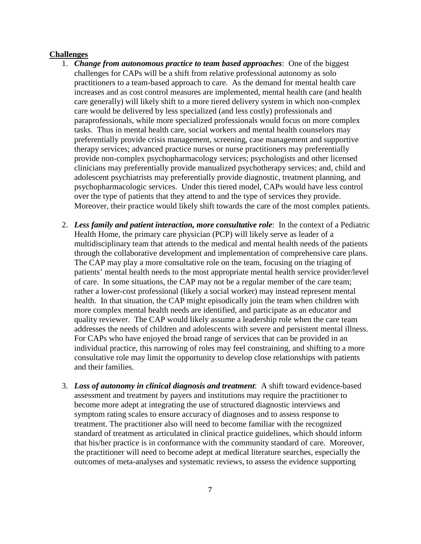#### **Challenges**

- 1. *Change from autonomous practice to team based approaches*: One of the biggest challenges for CAPs will be a shift from relative professional autonomy as solo practitioners to a team-based approach to care. As the demand for mental health care increases and as cost control measures are implemented, mental health care (and health care generally) will likely shift to a more tiered delivery system in which non-complex care would be delivered by less specialized (and less costly) professionals and paraprofessionals, while more specialized professionals would focus on more complex tasks. Thus in mental health care, social workers and mental health counselors may preferentially provide crisis management, screening, case management and supportive therapy services; advanced practice nurses or nurse practitioners may preferentially provide non-complex psychopharmacology services; psychologists and other licensed clinicians may preferentially provide manualized psychotherapy services; and, child and adolescent psychiatrists may preferentially provide diagnostic, treatment planning, and psychopharmacologic services. Under this tiered model, CAPs would have less control over the type of patients that they attend to and the type of services they provide. Moreover, their practice would likely shift towards the care of the most complex patients.
- 2. *Less family and patient interaction, more consultative role*: In the context of a Pediatric Health Home, the primary care physician (PCP) will likely serve as leader of a multidisciplinary team that attends to the medical and mental health needs of the patients through the collaborative development and implementation of comprehensive care plans. The CAP may play a more consultative role on the team, focusing on the triaging of patients' mental health needs to the most appropriate mental health service provider/level of care. In some situations, the CAP may not be a regular member of the care team; rather a lower-cost professional (likely a social worker) may instead represent mental health. In that situation, the CAP might episodically join the team when children with more complex mental health needs are identified, and participate as an educator and quality reviewer. The CAP would likely assume a leadership role when the care team addresses the needs of children and adolescents with severe and persistent mental illness. For CAPs who have enjoyed the broad range of services that can be provided in an individual practice, this narrowing of roles may feel constraining, and shifting to a more consultative role may limit the opportunity to develop close relationships with patients and their families.
- 3. *Loss of autonomy in clinical diagnosis and treatment*: A shift toward evidence-based assessment and treatment by payers and institutions may require the practitioner to become more adept at integrating the use of structured diagnostic interviews and symptom rating scales to ensure accuracy of diagnoses and to assess response to treatment. The practitioner also will need to become familiar with the recognized standard of treatment as articulated in clinical practice guidelines, which should inform that his/her practice is in conformance with the community standard of care. Moreover, the practitioner will need to become adept at medical literature searches, especially the outcomes of meta-analyses and systematic reviews, to assess the evidence supporting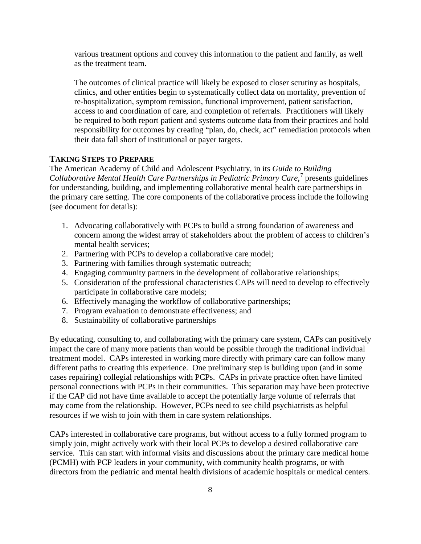various treatment options and convey this information to the patient and family, as well as the treatment team.

The outcomes of clinical practice will likely be exposed to closer scrutiny as hospitals, clinics, and other entities begin to systematically collect data on mortality, prevention of re-hospitalization, symptom remission, functional improvement, patient satisfaction, access to and coordination of care, and completion of referrals. Practitioners will likely be required to both report patient and systems outcome data from their practices and hold responsibility for outcomes by creating "plan, do, check, act" remediation protocols when their data fall short of institutional or payer targets.

# **TAKING STEPS TO PREPARE**

The American Academy of Child and Adolescent Psychiatry, in its *Guide to Building Collaborative Mental Health Care Partnerships in Pediatric Primary Care,* [7](#page-10-6) presents guidelines for understanding, building, and implementing collaborative mental health care partnerships in the primary care setting. The core components of the collaborative process include the following (see document for details):

- 1. Advocating collaboratively with PCPs to build a strong foundation of awareness and concern among the widest array of stakeholders about the problem of access to children's mental health services;
- 2. Partnering with PCPs to develop a collaborative care model;
- 3. Partnering with families through systematic outreach;
- 4. Engaging community partners in the development of collaborative relationships;
- 5. Consideration of the professional characteristics CAPs will need to develop to effectively participate in collaborative care models;
- 6. Effectively managing the workflow of collaborative partnerships;
- 7. Program evaluation to demonstrate effectiveness; and
- 8. Sustainability of collaborative partnerships

By educating, consulting to, and collaborating with the primary care system, CAPs can positively impact the care of many more patients than would be possible through the traditional individual treatment model. CAPs interested in working more directly with primary care can follow many different paths to creating this experience. One preliminary step is building upon (and in some cases repairing) collegial relationships with PCPs. CAPs in private practice often have limited personal connections with PCPs in their communities. This separation may have been protective if the CAP did not have time available to accept the potentially large volume of referrals that may come from the relationship. However, PCPs need to see child psychiatrists as helpful resources if we wish to join with them in care system relationships.

CAPs interested in collaborative care programs, but without access to a fully formed program to simply join, might actively work with their local PCPs to develop a desired collaborative care service. This can start with informal visits and discussions about the primary care medical home (PCMH) with PCP leaders in your community, with community health programs, or with directors from the pediatric and mental health divisions of academic hospitals or medical centers.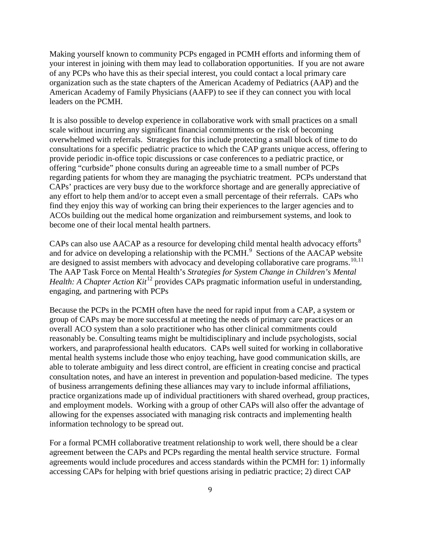Making yourself known to community PCPs engaged in PCMH efforts and informing them of your interest in joining with them may lead to collaboration opportunities. If you are not aware of any PCPs who have this as their special interest, you could contact a local primary care organization such as the state chapters of the American Academy of Pediatrics (AAP) and the American Academy of Family Physicians (AAFP) to see if they can connect you with local leaders on the PCMH.

It is also possible to develop experience in collaborative work with small practices on a small scale without incurring any significant financial commitments or the risk of becoming overwhelmed with referrals. Strategies for this include protecting a small block of time to do consultations for a specific pediatric practice to which the CAP grants unique access, offering to provide periodic in-office topic discussions or case conferences to a pediatric practice, or offering "curbside" phone consults during an agreeable time to a small number of PCPs regarding patients for whom they are managing the psychiatric treatment. PCPs understand that CAPs' practices are very busy due to the workforce shortage and are generally appreciative of any effort to help them and/or to accept even a small percentage of their referrals. CAPs who find they enjoy this way of working can bring their experiences to the larger agencies and to ACOs building out the medical home organization and reimbursement systems, and look to become one of their local mental health partners.

CAPs can also use AACAP as a resource for developing child mental health advocacy efforts<sup>[8](#page-10-7)</sup> and for advice on developing a relationship with the PCMH.<sup>[9](#page-10-8)</sup> Sections of the AACAP website are designed to assist members with advocacy and developing collaborative care programs.<sup>[10](#page-10-9),[11](#page-10-10)</sup> The AAP Task Force on Mental Health's *Strategies for System Change in Children's Mental Health: A Chapter Action Kit*<sup>[12](#page-10-11)</sup> provides CAPs pragmatic information useful in understanding, engaging, and partnering with PCPs

Because the PCPs in the PCMH often have the need for rapid input from a CAP, a system or group of CAPs may be more successful at meeting the needs of primary care practices or an overall ACO system than a solo practitioner who has other clinical commitments could reasonably be. Consulting teams might be multidisciplinary and include psychologists, social workers, and paraprofessional health educators. CAPs well suited for working in collaborative mental health systems include those who enjoy teaching, have good communication skills, are able to tolerate ambiguity and less direct control, are efficient in creating concise and practical consultation notes, and have an interest in prevention and population‐based medicine. The types of business arrangements defining these alliances may vary to include informal affiliations, practice organizations made up of individual practitioners with shared overhead, group practices, and employment models. Working with a group of other CAPs will also offer the advantage of allowing for the expenses associated with managing risk contracts and implementing health information technology to be spread out.

For a formal PCMH collaborative treatment relationship to work well, there should be a clear agreement between the CAPs and PCPs regarding the mental health service structure. Formal agreements would include procedures and access standards within the PCMH for: 1) informally accessing CAPs for helping with brief questions arising in pediatric practice; 2) direct CAP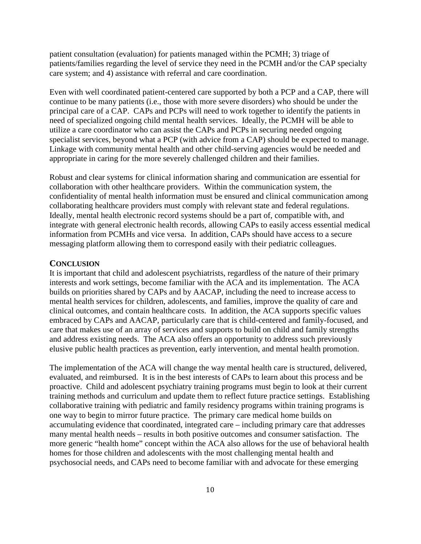patient consultation (evaluation) for patients managed within the PCMH; 3) triage of patients/families regarding the level of service they need in the PCMH and/or the CAP specialty care system; and 4) assistance with referral and care coordination.

Even with well coordinated patient-centered care supported by both a PCP and a CAP, there will continue to be many patients (i.e., those with more severe disorders) who should be under the principal care of a CAP. CAPs and PCPs will need to work together to identify the patients in need of specialized ongoing child mental health services. Ideally, the PCMH will be able to utilize a care coordinator who can assist the CAPs and PCPs in securing needed ongoing specialist services, beyond what a PCP (with advice from a CAP) should be expected to manage. Linkage with community mental health and other child-serving agencies would be needed and appropriate in caring for the more severely challenged children and their families.

Robust and clear systems for clinical information sharing and communication are essential for collaboration with other healthcare providers. Within the communication system, the confidentiality of mental health information must be ensured and clinical communication among collaborating healthcare providers must comply with relevant state and federal regulations. Ideally, mental health electronic record systems should be a part of, compatible with, and integrate with general electronic health records, allowing CAPs to easily access essential medical information from PCMHs and vice versa. In addition, CAPs should have access to a secure messaging platform allowing them to correspond easily with their pediatric colleagues.

#### **CONCLUSION**

It is important that child and adolescent psychiatrists, regardless of the nature of their primary interests and work settings, become familiar with the ACA and its implementation. The ACA builds on priorities shared by CAPs and by AACAP, including the need to increase access to mental health services for children, adolescents, and families, improve the quality of care and clinical outcomes, and contain healthcare costs. In addition, the ACA supports specific values embraced by CAPs and AACAP, particularly care that is child-centered and family-focused, and care that makes use of an array of services and supports to build on child and family strengths and address existing needs. The ACA also offers an opportunity to address such previously elusive public health practices as prevention, early intervention, and mental health promotion.

The implementation of the ACA will change the way mental health care is structured, delivered, evaluated, and reimbursed. It is in the best interests of CAPs to learn about this process and be proactive. Child and adolescent psychiatry training programs must begin to look at their current training methods and curriculum and update them to reflect future practice settings. Establishing collaborative training with pediatric and family residency programs within training programs is one way to begin to mirror future practice. The primary care medical home builds on accumulating evidence that coordinated, integrated care – including primary care that addresses many mental health needs – results in both positive outcomes and consumer satisfaction. The more generic "health home" concept within the ACA also allows for the use of behavioral health homes for those children and adolescents with the most challenging mental health and psychosocial needs, and CAPs need to become familiar with and advocate for these emerging